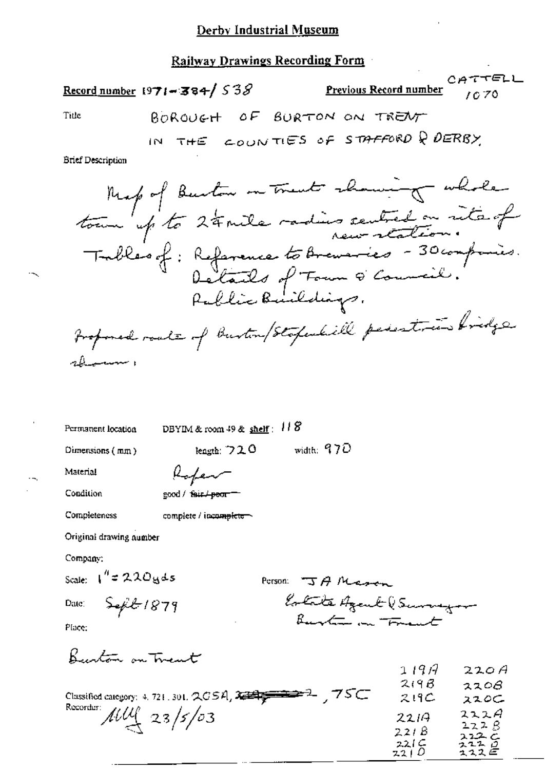### Derby Industrial Museum

## **Railway Drawings Recording Form**

Record number 1971-384/538

 $\mathbf{I}$ 

TELL СA Previous Record number G 70

Title

**Brief Description** 

Permanent location

DBYIM & room  $49$  & shelf:  $118$ 

Dimensions  $(mm)$ 

width:  $970$ leagth:  $720$ 

Material

| Refer              |
|--------------------|
| good / fair / poor |

Condition

Completeness

|  | complete / incomplete |
|--|-----------------------|

Original drawing number

Company:

Scale:  $1'' = 220yds$ 

Date:

Person: JA Mason Estate Azent (Surveyor

Place:

Burton on Trent

 $S$ efit 1879

|                                                              | 1197 | 220A         |
|--------------------------------------------------------------|------|--------------|
|                                                              | 219B | 2208         |
| ್ನ 75⊂<br>Classified category: 4, 721, 301, $QCSA$ , $2 = 2$ | 219C | ススロン         |
| Recorder: $\mu\mu$ 23/5/03                                   | 2214 | 222A         |
|                                                              | 221B | 222B<br>222c |
|                                                              | 221C | ユユユ ロ        |
|                                                              | 2210 | ユススピ         |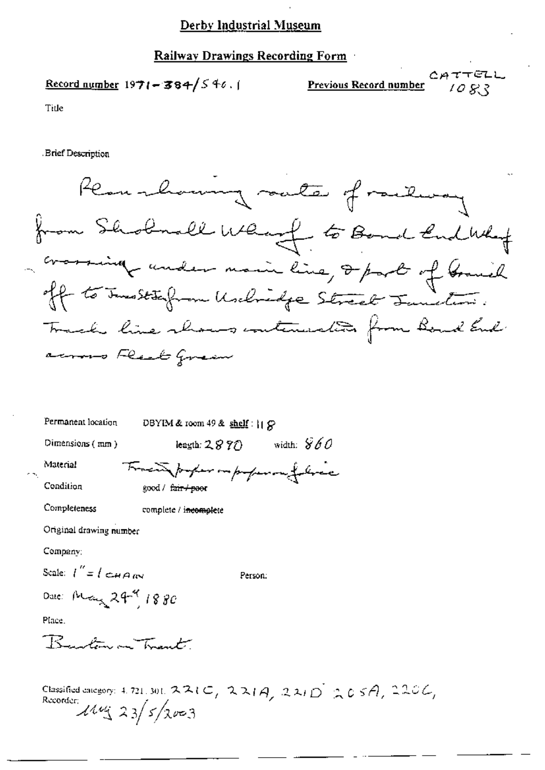# Derby Industrial Museum

# Railway Drawings Recording Form

# Record number  $1971 - 384/546.$

 $CATTELL$ <br> $1083$ **Previous Record number** 

Title

Brief Description

| Remarkaming auto of railway                                                              |
|------------------------------------------------------------------------------------------|
| from Shobnall What to Bond End What                                                      |
|                                                                                          |
| crossing under main line, 2 part of Grand<br>off to Instalam Unclosifie Street Junities. |
| Track line shows contenerated from Board End                                             |
| across Real Green                                                                        |
| Permanent location<br>DBYIM & room 49 & shelf:    G                                      |
| width: $860$<br>Dimensions $(mn)$<br>length: $2870$                                      |
| Material<br>Tracing paper in paper met<br>Condition<br>good / f <del>air / pao</del> r   |
| Completeness<br>complete / incomplete                                                    |
| Original drawing number                                                                  |
| Company;                                                                                 |
| Scale: $I'' = I \subset H \cap \mathbb{R}^N$<br>Person:                                  |
| Date: May 29-9 1880                                                                      |
| Place.                                                                                   |
| Rustinon Trant.                                                                          |
|                                                                                          |

Classified category: 4.721, 301, 221C, 221A, 221D 205A, 220C,<br>Recorder:<br> $\frac{144 \cdot 23}{5}$   $\frac{5}{2003}$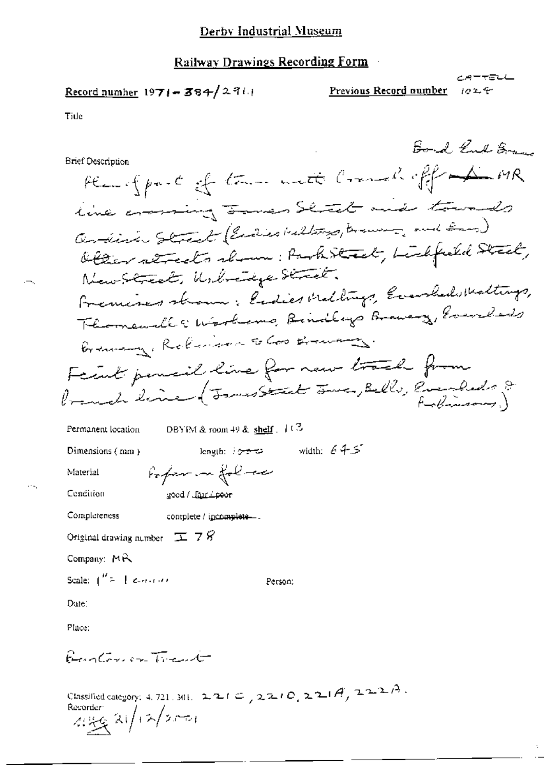### Railway Drawings Recording Form

$$
\underline{\text{Record number 1971} - 384} / 2366
$$

Previous Record number 加工会

メーテテム

Tide

Bord Kul Same **Brief Description** Henryford of the with Commeliaff the MR line crossing James Shock and towards andinic Street (Endies Willings, traum, and Eng) Obter streets shown: Park Street, Liebfried Street, New Street, Usbreakge Street. Fremises shown: ladies Mellings, Evanhed Meltings, Thomandle Wirthing Rindleys Braning, Everyland Braming, Robinson to Good Bramany. Facult pensil line for new track from Premet line (Jours Stat June, Belle, Evenfeds & DBYIM & room 49 & shelf  $\cdot$  11<sup>3</sup> Permanent location  $\begin{minipage}{.4\linewidth} \textbf{length:} & \textbf{64.5} \end{minipage}$ Dimensions (mm) Proper in follow Material Cendition good / Jamilpoor Completeness complete / incomplete... Original drawing number  $\boxed{\pm}$  7  $\cancel{S}$ Company: MR Scale:  $\int_{0}^{H}z=1$  expected Person; Date: Place: Burton on Trant

Classified category: 4, 721, 301,  $2, 2, 1 \in \mathcal{L}$  ,  $2, 2, 1 \in \mathcal{L}$ ,  $2, 2, 1 \in \mathcal{A}$ ,  $2, 2, 2, 1 \in \mathcal{A}$ . Recorder  $2\sqrt{12/200}$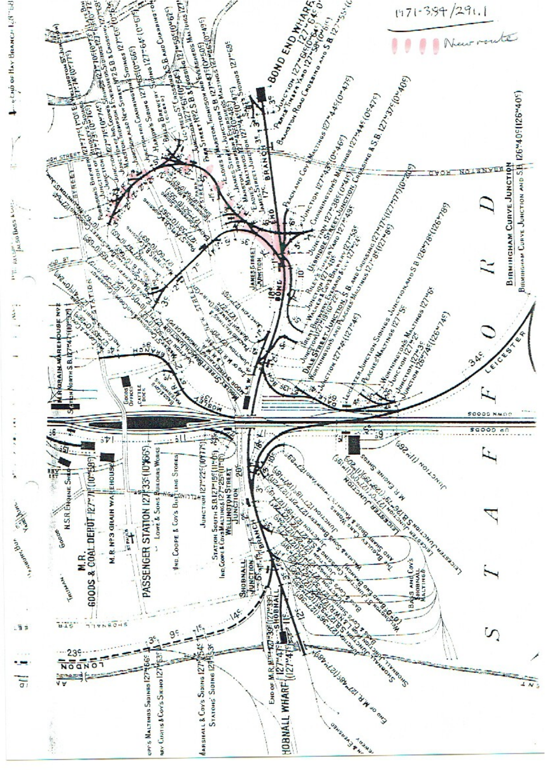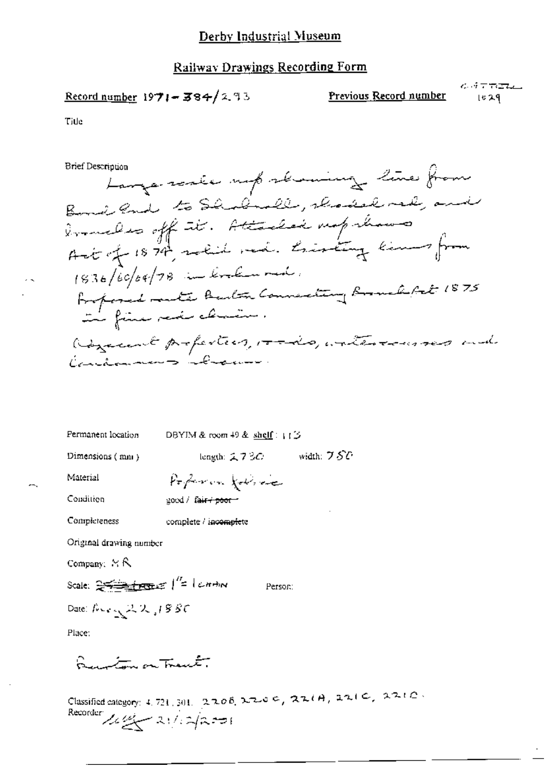#### **Railway Drawings Recording Form**

# Record number 1971-384/2.93

Previous Record number

 $C_2$  of  $T$  the table  $1029$ 

Title

**Brief Description** 

Large resie upsbaumy line from Bond and to Shodroll, choose red, and ermeles off it. Attaché neprésent 1836/60/04/78 in link mad. Borforied multe Beaton Connecting Boundarit 1875 Rozecent profestion, roads, waterconservant Cardonnes bolanno.

| Permanent location                                                 | DBYIM & room 49 & shelf: $\uparrow \uparrow \uparrow$                     |
|--------------------------------------------------------------------|---------------------------------------------------------------------------|
| Dimensions (mm)                                                    | length: $2730$ width: $750$                                               |
| Material                                                           | Poperon forme                                                             |
| Condition                                                          | good / fa <del>ir / poor /</del>                                          |
| Completeness                                                       | complete / incomplete                                                     |
| Original drawing number                                            |                                                                           |
| Company: $\forall$ R                                               |                                                                           |
| Scale: $25 - 1$ $\sqrt{2}$ $\left  \frac{1}{2} \right $ $\sqrt{2}$ | Person:                                                                   |
| Date: $100 \times 122$ , 1880                                      |                                                                           |
| Place:                                                             |                                                                           |
| Question on Transfer                                               |                                                                           |
|                                                                    | Classified calculates $1721$ and $2706$ $2700$ C, $22(0, 221)$ , $2210$ . |

Recorder  $\frac{1}{\sqrt{2}}$  21/2/2=1